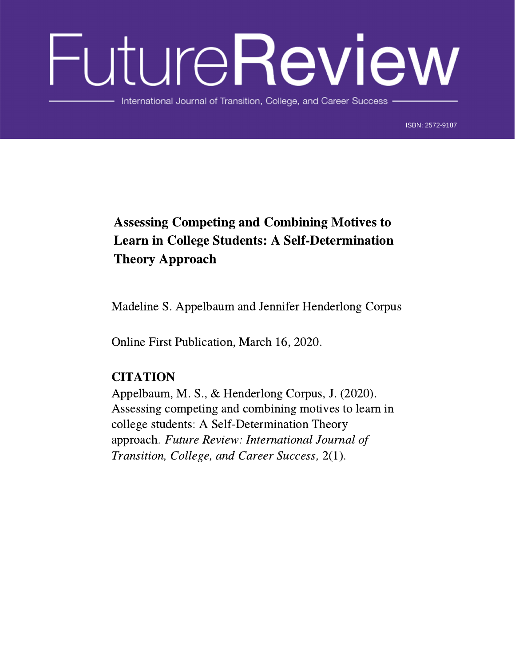# FutureReview

International Journal of Transition, College, and Career Success

ISBN: 2572-9187 ISBN: 2572-9187

# Assessing Competing and Combining Motives to Learn in College Students: A Self-Determination Theory Approach

Madeline S. Appelbaum and Jennifer Henderlong Corpus

Online First Publication, March 16, 2020.

## **CITATION**

Appelbaum, M. S., & Henderlong Corpus, J. (2020). Assessing competing and combining motives to learn in college students: A Self-Determination Theory approach. Future Review: International Journal of Transition, College, and Career Success, 2(1).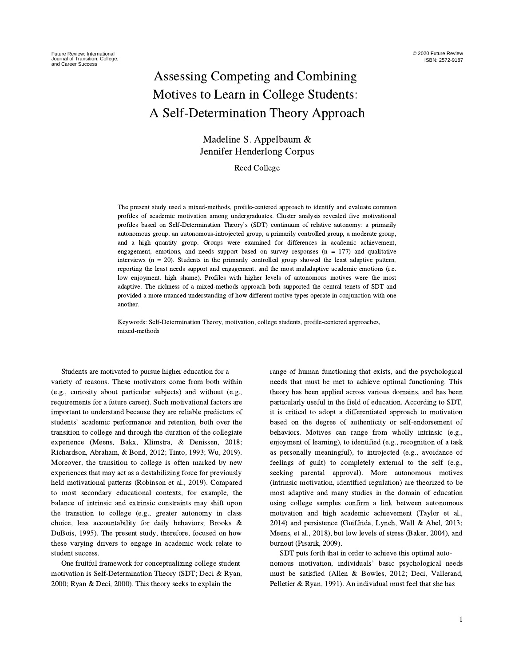## Assessing Competing and Combining Motives to Learn in College Students: A Self-Determination Theory Approach

### Madeline S. Appelbaum & Jennifer Henderlong Corpus

Reed College

The present study used a mixed-methods, profile-centered approach to identify and evaluate common profiles of academic motivation among undergraduates. Cluster analysis revealed five motivational profiles based on Self-Determination Theory's (SDT) continuum of relative autonomy: <sup>a</sup> primarily autonomous group, an autonomous-introjected group, a primarily controlled group, a moderate group, and a high quantity group. Groups were examined for differences in academic achievement, engagement, emotions, and needs support based on survey responses ( $n = 177$ ) and qualitative interviews (n = 20). Students in the primarily controlled group showed the least adaptive pattern, reporting the least needs support and engagement, and the most maladaptive academic emotions (i.e. low enjoyment, high shame). Profiles with higher levels of autonomous motives were the most adaptive. The richness of a mixed-methods approach both supported the central tenets of SDT and provided a more nuanced understanding of how different motive types operate in conjunction with one another.

Keywords: Self-Determination Theory, motivation, college students, profile-centered approaches, mixed-methods

Students are motivated to pursue higher education for a variety of reasons. These motivators come from both within (e.g., curiosity about particular subjects) and without (e.g., requirements for a future career). Such motivational factors are important to understand because they are reliable predictors of students' academic performance and retention, both over the transition to college and through the duration of the collegiate experience (Meens, Bakx, Klimstra, & Denissen, 2018; Richardson, Abraham, & Bond, 2012; Tinto, 1993; Wu, 2019). Moreover, the transition to college is often marked by new experiences that may act as a destabilizing force for previously held motivational patterns (Robinson et al., 2019). Compared to most secondary educational contexts, for example, the balance of intrinsic and extrinsic constraints may shift upon the transition to college (e.g., greater autonomy in class choice, less accountability for daily behaviors; Brooks & DuBois, 1995). The present study, therefore, focused on how these varying drivers to engage in academic work relate to student success.

One fruitful framework for conceptualizing college student motivation is Self-Determination Theory (SDT; Deci & Ryan, 2000; Ryan & Deci, 2000). This theory seeks to explain the

range of human functioning that exists, and the psychological needs that must be met to achieve optimal functioning. This theory has been applied across various domains, and has been particularly useful in the field of education. According to SDT, it is critical to adopt a differentiated approach to motivation based on the degree of authenticity or self-endorsement of behaviors. Motives can range from wholly intrinsic (e.g., enjoyment of learning), to identified (e.g., recognition of a task as personally meaningful), to introjected (e.g., avoidance of feelings of guilt) to completely external to the self (e.g., seeking parental approval). More autonomous motives (intrinsic motivation, identified regulation) are theorized to be most adaptive and many studies in the domain of education using college samples confirm a link between autonomous motivation and high academic achievement (Taylor et al., 2014) and persistence (Guiffrida, Lynch, Wall & Abel, 2013; Meens, et al., 2018), but low levels of stress (Baker, 2004), and burnout (Pisarik, 2009).

SDT puts forth that in order to achieve this optimal autonomous motivation, individuals' basic psychological needs must be satisfied (Allen & Bowles, 2012; Deci, Vallerand, Pelletier & Ryan, 1991). An individual must feel that she has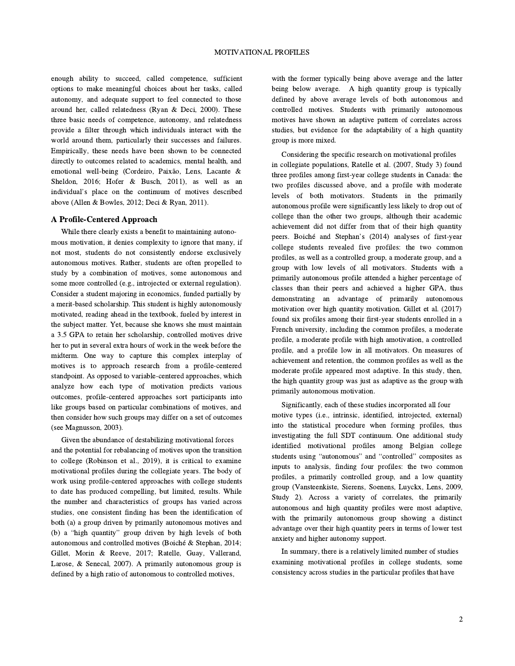enough ability to succeed, called competence, sufficient options to make meaningful choices about her tasks, called autonomy, and adequate support to feel connected to those around her, called relatedness (Ryan & Deci, 2000). These three basic needs of competence, autonomy, and relatedness provide a filter through which individuals interact with the world around them, particularly their successes and failures. Empirically, these needs have been shown to be connected directly to outcomes related to academics, mental health, and emotional well-being (Cordeiro, Paixão, Lens, Lacante & Sheldon, 2016; Hofer & Busch, 2011), as well as an Sheldon, 2016; Hofer & Busch, 2011), as well as an individual's place on the continuum of motives described above (Allen & Bowles, 2012; Deci & Ryan, 2011).

#### A Profile-Centered Approach

While there clearly exists a benefit to maintaining autonomous motivation, it denies complexity to ignore that many, if not most, students do not consistently endorse exclusively autonomous motives. Rather, students are often propelled to study by a combination of motives, some autonomous and some more controlled (e.g., introjected or external regulation). Consider a student majoring in economics, funded partially by a merit-based scholarship. This student is highly autonomously motivated, reading ahead in the textbook, fueled by interest in the subject matter. Yet, because she knows she must maintain a 3.5 GPA to retain her scholarship, controlled motives drive her to put in several extra hours of work in the week before the midterm. One way to capture this complex interplay of motives is to approach research from a profile-centered standpoint. As opposed to variable-centered approaches, which analyze how each type of motivation predicts various outcomes, profile-centered approaches sort participants into like groups based on particular combinations of motives, and then consider how such groups may differ on a set of outcomes (see Magnusson, 2003).

Given the abundance of destabilizing motivational forces and the potential for rebalancing of motives upon the transition to college (Robinson et al., 2019), it is critical to examine motivational profiles during the collegiate years. The body of work using profile-centered approaches with college students to date has produced compelling, but limited, results. While the number and characteristics of groups has varied across studies, one consistent finding has been the identification of both (a) a group driven by primarily autonomous motives and (b) a "high quantity" group driven by high levels of both (b) a "high quantity" group driven by high levels of both autonomous and controlled motives (Boiché & Stephan, 2014; Gillet, Morin & Reeve, 2017; Ratelle, Guay, Vallerand, Larose, & Senecal, 2007). A primarily autonomous group is defined by a high ratio of autonomous to controlled motives,

with the former typically being above average and the latter being below average. A high quantity group is typically defined by above average levels of both autonomous and controlled motives. Students with primarily autonomous motives have shown an adaptive pattern of correlates across studies, but evidence for the adaptability of a high quantity group is more mixed.

Considering the specific research on motivational profiles in collegiate populations, Ratelle et al. (2007, Study 3) found three profiles among first-year college students in Canada: the two profiles discussed above, and a profile with moderate levels of both motivators. Students in the primarily autonomous profile were significantly less likely to drop out of college than the other two groups, although their academic achievement did not differ from that of their high quantity peers. Boiché and Stephan's (2014) analyses of first-year college students revealed five profiles: the two common profiles, as well as a controlled group, a moderate group, and a group with low levels of all motivators. Students with a primarily autonomous profile attended a higher percentage of classes than their peers and achieved a higher GPA, thus demonstrating an advantage of primarily autonomous motivation over high quantity motivation. Gillet et al. (2017) found six profiles among their first-year students enrolled in a French university, including the common profiles, a moderate profile, a moderate profile with high amotivation, a controlled profile, and a profile low in all motivators. On measures of achievement and retention, the common profiles as well as the moderate profile appeared most adaptive. In this study, then, the high quantity group was just as adaptive as the group with primarily autonomous motivation.

Significantly, each of these studies incorporated all four motive types (i.e., intrinsic, identified, introjected, external) into the statistical procedure when forming profiles, thus investigating the full SDT continuum. One additional study identified motivational profiles among Belgian college students using "autonomous" and "controlled" composites as inputs to analysis, finding four profiles: the two common profiles, a primarily controlled group, and a low quantity group (Vansteenkiste, Sierens, Soenens, Luyckx, Lens, 2009, Study 2). Across a variety of correlates, the primarily autonomous and high quantity profiles were most adaptive, with the primarily autonomous group showing a distinct advantage over their high quantity peers in terms of lower test anxiety and higher autonomy support.

In summary, there is a relatively limited number of studies examining motivational profiles in college students, some consistency across studies in the particular profiles that have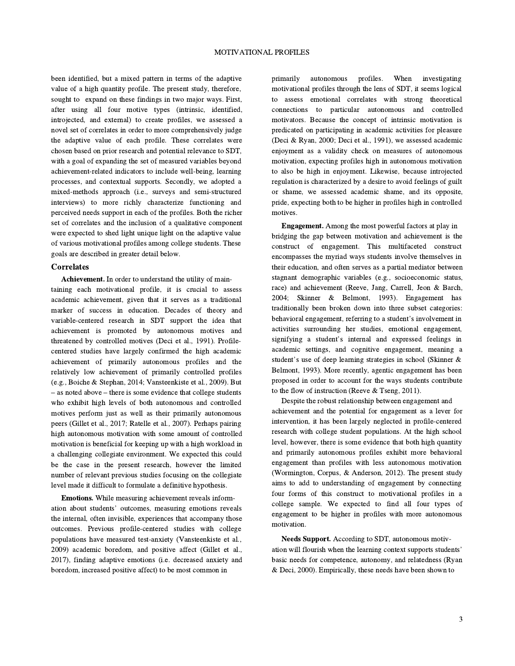been identified, but a mixed pattern in terms of the adaptive value of a high quantity profile. The present study, therefore, sought to expand on these findings in two major ways. First, after using all four motive types (intrinsic, identified, introjected, and external) to create profiles, we assessed a novel set of correlates in order to more comprehensively judge the adaptive value of each profile. These correlates were chosen based on prior research and potential relevance to SDT, with a goal of expanding the set of measured variables beyond achievement-related indicators to include well-being, learning processes, and contextual supports. Secondly, we adopted a mixed-methods approach (i.e., surveys and semi-structured interviews) to more richly characterize functioning and perceived needs support in each of the profiles. Both the richer set of correlates and the inclusion of a qualitative component were expected to shed light unique light on the adaptive value of various motivational profiles among college students. These goals are described in greater detail below.

#### **Correlates**

Achievement. In order to understand the utility of maintaining each motivational profile, it is crucial to assess academic achievement, given that it serves as a traditional marker of success in education. Decades of theory and variable-centered research in SDT support the idea that achievement is promoted by autonomous motives and threatened by controlled motives (Deci et al., 1991). Profilecentered studies have largely confirmed the high academic achievement of primarily autonomous profiles and the relatively low achievement of primarily controlled profiles (e.g., Boiche & Stephan, 2014; Vansteenkiste et al., 2009). But – as noted above – there is some evidence that college students who exhibit high levels of both autonomous and controlled motives perform just as well as their primarily autonomous peers (Gillet et al., 2017; Ratelle et al., 2007). Perhaps pairing high autonomous motivation with some amount of controlled motivation is beneficial for keeping up with a high workload in a challenging collegiate environment. We expected this could be the case in the present research, however the limited number of relevant previous studies focusing on the collegiate level made it difficult to formulate a definitive hypothesis.

Emotions. While measuring achievement reveals inform-ation about students' outcomes, measuring emotions reveals the internal, often invisible, experiences that accompany those outcomes. Previous profile-centered studies with college populations have measured test-anxiety (Vansteenkiste et al., 2009) academic boredom, and positive affect (Gillet et al., 2017), finding adaptive emotions (i.e. decreased anxiety and boredom, increased positive affect) to be most common in

primarily autonomous profiles. When investigating motivational profiles through the lens of SDT, it seems logical to assess emotional correlates with strong theoretical connections to particular autonomous and controlled motivators. Because the concept of intrinsic motivation is predicated on participating in academic activities for pleasure (Deci & Ryan, 2000; Deci et al., 1991), we assessed academic enjoyment as a validity check on measures of autonomous motivation, expecting profiles high in autonomous motivation to also be high in enjoyment. Likewise, because introjected regulation is characterized by a desire to avoid feelings of guilt or shame, we assessed academic shame, and its opposite, pride, expecting both to be higher in profiles high in controlled motives.

Engagement. Among the most powerful factors at play in bridging the gap between motivation and achievement is the construct of engagement. This multifaceted construct encompasses the myriad ways students involve themselves in their education, and often serves as a partial mediator between stagnant demographic variables (e.g., socioeconomic status, race) and achievement (Reeve, Jang, Carrell, Jeon & Barch, 2004; Skinner & Belmont, 1993). Engagement has traditionally been broken down into three subset categories: behavioral engagement, referring to a student's involvement in<br>behavioral engagement, referring to a student's involvement in activities surrounding her studies, emotional engagement, behavioral engagement, referring to a student's involvement in<br>activities surrounding her studies, emotional engagement,<br>signifying a student's internal and expressed feelings in academic settings, and cognitive engagement, meaning a statution in the experiment of the contract of the strategies in school (Skinner & student's use of deep learning strategies in school (Skinner & Belmont, 1993). More recently, agentic engagement has been proposed in order to account for the ways students contribute to the flow of instruction (Reeve & Tseng, 2011).

Despite the robust relationship between engagement and achievement and the potential for engagement as a lever for intervention, it has been largely neglected in profile-centered research with college student populations. At the high school level, however, there is some evidence that both high quantity and primarily autonomous profiles exhibit more behavioral engagement than profiles with less autonomous motivation (Wormington, Corpus, & Anderson, 2012). The present study aims to add to understanding of engagement by connecting four forms of this construct to motivational profiles in a college sample. We expected to find all four types of engagement to be higher in profiles with more autonomous motivation.

Needs Support. According to SDT, autonomous motivation will flourish when the learning context supports students' basic needs for competence, autonomy, and relatedness (Ryan & Deci, 2000). Empirically, these needs have been shown to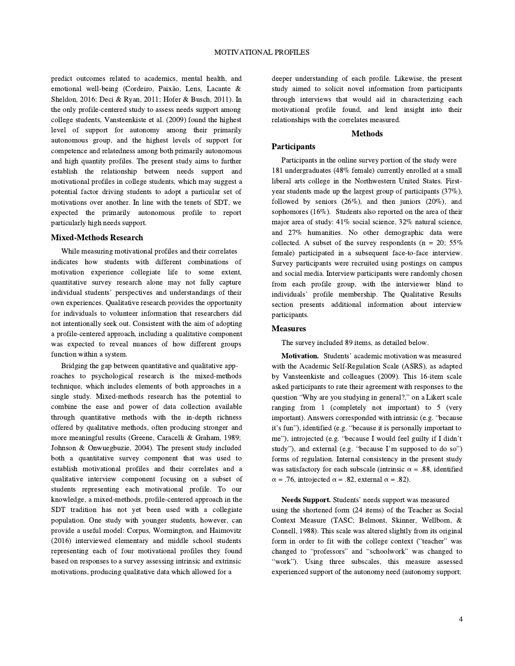predict outcomes related to academics, mental health, and emotional well-being (Cordeiro, Paixão, Lens, Lacante & Sheldon, 2016; Deci & Ryan, 2011; Hofer & Busch, 2011). In the only profile-centered study to assess needs support among college students, Vansteenkiste et al. (2009) found the highest level of support for autonomy among their primarily autonomous group, and the highest levels of support for competence and relatedness among both primarily autonomous and high quantity profiles. The present study aims to further establish the relationship between needs support and motivational profiles in college students, which may suggest a potential factor driving students to adopt a particular set of motivations over another. In line with the tenets of SDT, we expected the primarily autonomous profile to report particularly high needs support.

#### Mixed-Methods Research

While measuring motivational profiles and their correlates indicates how students with different combinations of motivation experience collegiate life to some extent, quantitative survey research alone may not fully capture individual students' perspectives and understandings of their own experiences. Qualitative research provides the opportunity for individuals to volunteer information that researchers did not intentionally seek out. Consistent with the aim of adopting a profile-centered approach, including a qualitative component was expected to reveal nuances of how different groups function within a system.

Bridging the gap between quantitative and qualitative approaches to psychological research is the mixed-methods technique, which includes elements of both approaches in a single study. Mixed-methods research has the potential to combine the ease and power of data collection available through quantitative methods with the in-depth richness offered by qualitative methods, often producing stronger and more meaningful results (Greene, Caracelli & Graham, 1989; Johnson & Onwuegbuzie, 2004). The present study included both a quantitative survey component that was used to establish motivational profiles and their correlates and a qualitative interview component focusing on a subset of students representing each motivational profile. To our knowledge, a mixed-methods, profile-centered approach in the SDT tradition has not yet been used with a collegiate population. One study with younger students, however, can provide a useful model: Corpus, Wormington, and Haimovitz (2016) interviewed elementary and middle school students representing each of four motivational profiles they found based on responses to a survey assessing intrinsic and extrinsic motivations, producing qualitative data which allowed for a

deeper understanding of each profile. Likewise, the present study aimed to solicit novel information from participants through interviews that would aid in characterizing each motivational profile found, and lend insight into their relationships with the correlates measured.

#### Methods

#### **Participants**

Participants in the online survey portion of the study were 181 undergraduates (48% female) currently enrolled at a small liberal arts college in the Northwestern United States. Firstyear students made up the largest group of participants (37%), followed by seniors  $(26\%)$ , and then juniors  $(20\%)$ , and sophomores (16%). Students also reported on the area of their major area of study: 41% social science, 32% natural science, and 27% humanities. No other demographic data were collected. A subset of the survey respondents ( $n = 20$ ; 55% female) participated in a subsequent face-to-face interview. Survey participants were recruited using postings on campus and social media. Interview participants were randomly chosen from each profile group, with the interviewer blind to from each profile group, with the interviewer blind to individuals' profile membership. The Qualitative Results section presents additional information about interview participants.

#### Measures

The survey included 89 items, as detailed below.

Motivation. Students' academic motivation was measured with the Academic Self-Regulation Scale (ASRS), as adapted by Vansteenkiste and colleagues (2009). This 16-item scale asked participants to rate their agreement with responses to the question that the control of the control of the space and the space and studying in general?," on a Likert scale ranging from 1 (completely not important) to 5 (very Figure 1.1.1 The process corresponded with intrinsic (e.g. "because<br>important). Answers corresponded with intrinsic (e.g. "because important). Answers corresponded with intrinsic (e.g. "because<br>it's fun"), identified (e.g. "because it is personally important to metrical contracts of the personally important to<br>it's fun"), identified (e.g. "because I would feel guilty if I didn't study"), introjected (e.g. "because I would feel guilty if I didn't study"), and external (e.g. "because I'm supposed to do so") forms of regulation. Internal consistency in the present study was satisfactory for each subscale (intrinsic  $\alpha = .88$ , identified  $\alpha$  = .76, introjected  $\alpha$  = .82, external  $\alpha$  = .82).

Needs Support. Students' needs support was measured using the shortened form (24 items) of the Teacher as Social Context Measure (TASC; Belmont, Skinner, Wellborn, & Connell, 1988). This scale was altered slightly from its original Form *From Correct*, 1998). This scale was altered slightly from its original form in order to fit with the college context ("teacher" was changed to "professors" and "schoolwork" was changed to "professors" and "schoolwork" was changed to changed to "professors" and "schoolwork" was changed to "work"). Using three subscales, this measure assessed experienced support of the autonomy need (autonomy support;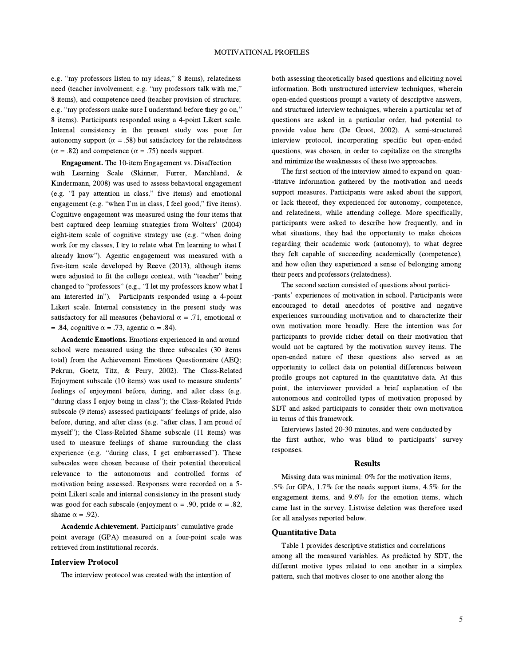e.g. "my professors listen to my ideas," <sup>8</sup> items), relatedness e.g. "my professors listen to my ideas," 8 items), relatedness<br>need (teacher involvement; e.g. "my professors talk with me," 8 items), and competence need (teacher provision of structure; 8 items), and competence need (teacher provision of structure;<br>e.g. "my professors make sure I understand before they go on," 8 items). Participants responded using a 4-point Likert scale. Internal consistency in the present study was poor for autonomy support ( $\alpha = .58$ ) but satisfactory for the relatedness  $(\alpha = .82)$  and competence  $(\alpha = .75)$  needs support.

Engagement. The 10-item Engagement vs. Disaffection with Learning Scale (Skinner, Furrer, Marchland, & Kindermann, 2008) was used to assess behavioral engagement Kindermann, 2008) was used to assess behavioral engagement (e.g. "I pay attention in class," five items) and emotional (e.g. "I pay attention in class," five items) and emotional engagement (e.g. "when I'm in class, I feel good," five items). Cognitive engagement was measured using the four items that Cognitive engagement was measured using the four items that<br>best captured deep learning strategies from Wolters' (2004) best captured deep learning strategies from Wolters' (2004) eight-item scale of cognitive strategy use (e.g. "when doing work for my classes, I try to relate what I'm learning to what I already know"). Agentic engagement was measured with <sup>a</sup> five-item scale developed by Reeve (2013), although items were adjusted to fit the college context, with "teacher" being<br>were adjusted to fit the college context, with "teacher" being were adjusted to fit the college context, with "teacher" being<br>changed to "professors" (e.g., "I let my professors know what I changed to "professors" (e.g., "I let my professors know what I<br>am interested in"). Participants responded using a 4-point Likert scale. Internal consistency in the present study was satisfactory for all measures (behavioral  $\alpha = .71$ , emotional  $\alpha$ = .84, cognitive  $\alpha$  = .73, agentic  $\alpha$  = .84).

Academic Emotions. Emotions experienced in and around school were measured using the three subscales (30 items total) from the Achievement Emotions Questionnaire (AEQ; Pekrun, Goetz, Titz, & Perry, 2002). The Class-Related Enjoyment subscale (10 items) was used to measure students' feelings of enjoyment before, during, and after class (e.g. Even by the second of enjoyment before, during, and after class (e.g. "during class I enjoy being in class"); the Class-Related Pride "during class I enjoy being in class"); the Class-Related Pride subscale (9 items) assessed participants' feelings of pride, also before, during, and after class (e.g. "after class, I am proud of myself"); the Class-Related Shame subscale (11 items) was used to measure feelings of shame surrounding the class experience (e.g. "during class, I get embarrassed"). These<br>experience (e.g. "during class, I get embarrassed"). These subscales were chosen because of their potential theoretical relevance to the autonomous and controlled forms of motivation being assessed. Responses were recorded on a 5 point Likert scale and internal consistency in the present study was good for each subscale (enjoyment  $\alpha = .90$ , pride  $\alpha = .82$ , shame  $α = .92$ ).

Academic Achievement. Participants' cumulative grade point average (GPA) measured on a four-point scale was retrieved from institutional records.

#### Interview Protocol

The interview protocol was created with the intention of

both assessing theoretically based questions and eliciting novel information. Both unstructured interview techniques, wherein open-ended questions prompt a variety of descriptive answers, and structured interview techniques, wherein a particular set of questions are asked in a particular order, had potential to provide value here (De Groot, 2002). A semi-structured interview protocol, incorporating specific but open-ended questions, was chosen, in order to capitalize on the strengths and minimize the weaknesses of these two approaches.

The first section of the interview aimed to expand on quan- -titative information gathered by the motivation and needs support measures. Participants were asked about the support, or lack thereof, they experienced for autonomy, competence, and relatedness, while attending college. More specifically, participants were asked to describe how frequently, and in what situations, they had the opportunity to make choices regarding their academic work (autonomy), to what degree they felt capable of succeeding academically (competence), and how often they experienced a sense of belonging among their peers and professors (relatedness).

The second section consisted of questions about partici- The second section consisted of questions about partici-<br>pants' experiences of motivation in school. Participants were encouraged to detail anecdotes of positive and negative experiences surrounding motivation and to characterize their own motivation more broadly. Here the intention was for participants to provide richer detail on their motivation that would not be captured by the motivation survey items. The open-ended nature of these questions also served as an opportunity to collect data on potential differences between profile groups not captured in the quantitative data. At this point, the interviewer provided a brief explanation of the autonomous and controlled types of motivation proposed by SDT and asked participants to consider their own motivation in terms of this framework.

Interviews lasted 20-30 minutes, and were conducted by Interviews lasted 20-30 minutes, and were conducted by<br>the first author, who was blind to participants' survey responses.

#### Results

Missing data was minimal: 0% for the motivation items, .5% for GPA, 1.7% for the needs support items, 4.5% for the engagement items, and 9.6% for the emotion items, which came last in the survey. Listwise deletion was therefore used for all analyses reported below.

#### Quantitative Data

Table 1 provides descriptive statistics and correlations among all the measured variables. As predicted by SDT, the different motive types related to one another in a simplex pattern, such that motives closer to one another along the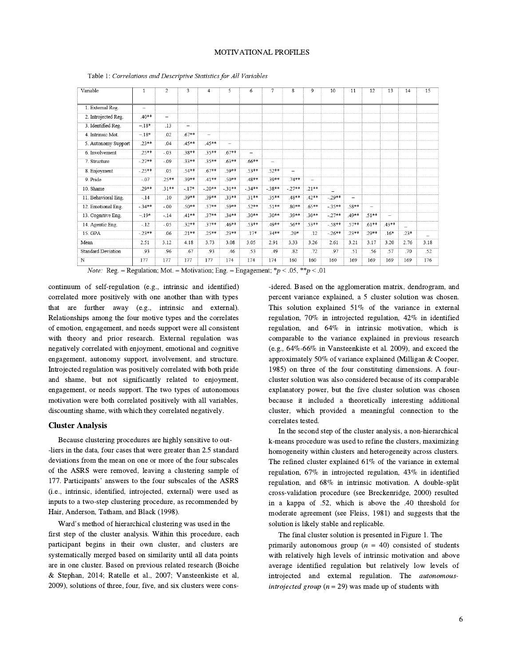| Variable                  |          | $\overline{c}$           | 3                        | $\overline{4}$           | 5                        | 6                        | 7                        | 8                        | 9                        | 10       | 11     | 12                       | 13      | 14     | 15   |
|---------------------------|----------|--------------------------|--------------------------|--------------------------|--------------------------|--------------------------|--------------------------|--------------------------|--------------------------|----------|--------|--------------------------|---------|--------|------|
|                           |          |                          |                          |                          |                          |                          |                          |                          |                          |          |        |                          |         |        |      |
| 1. External Reg.          |          |                          |                          |                          |                          |                          |                          |                          |                          |          |        |                          |         |        |      |
| 2. Introjected Reg.       | $.40**$  | $\overline{\phantom{0}}$ |                          |                          |                          |                          |                          |                          |                          |          |        |                          |         |        |      |
| 3. Identified Reg.        | $-18*$   | .13                      | $\overline{\phantom{a}}$ |                          |                          |                          |                          |                          |                          |          |        |                          |         |        |      |
| 4. Intrinsic Mot.         | $-.18*$  | .02                      | $.67**$                  | $\overline{\phantom{0}}$ |                          |                          |                          |                          |                          |          |        |                          |         |        |      |
| 5. Autonomy Support       | $.23**$  | .04                      | $.45**$                  | $.45**$                  | $\overline{\phantom{0}}$ |                          |                          |                          |                          |          |        |                          |         |        |      |
| 6. Involvement            | .25**    | $-.03$                   | .38**                    | 35**                     | $67**$                   | $\overline{\phantom{a}}$ |                          |                          |                          |          |        |                          |         |        |      |
| 7. Structure              | $-27**$  | $-09$                    | $33**$                   | $35**$                   | $63**$                   | 66**                     | $\overline{\phantom{0}}$ |                          |                          |          |        |                          |         |        |      |
| 8. Enjoyment              | $-25**$  | 05                       | $54**$                   | $67**$                   | $59**$                   | $53**$                   | 52**                     | $\overline{\phantom{0}}$ |                          |          |        |                          |         |        |      |
| 9 Pride                   | $-07$    | $25**$                   | .39**                    | $.41**$                  | $50**$                   | $48**$                   | $39**$                   | 74**                     | $\overline{\phantom{a}}$ |          |        |                          |         |        |      |
| 10. Shame                 | $.29**$  | 31**                     | $-17*$                   | $-.20**$                 | $-31**$                  | $-34**$                  | $-38**$                  | $-27**$                  | $21**$                   |          |        |                          |         |        |      |
| 11. Behavioral Eng.       | $-.14$   | .10                      | .39**                    | 39**                     | $33**$                   | $.31**$                  | 35**                     | 48**                     | $.42**$                  | $-29**$  |        |                          |         |        |      |
| 12. Emotional Eng.        | $-.34**$ | $-.00$                   | $.50**$                  | 57**                     | 59**                     | $.52**$                  | $.51**$                  | $.80**$                  | $.65***$                 | $-.35**$ | .58**  | $\overline{\phantom{a}}$ |         |        |      |
| 13. Cognitive Eng.        | $-.19*$  | $-.14$                   | $.41**$                  | $37**$                   | $34**$                   | $30**$                   | $30**$                   | 39**                     | $30**$                   | $-27**$  | 49**   | 51**                     | $\sim$  |        |      |
| 14. Agentic Eng.          | $-.12$   | $-.05$                   | $.32**$                  | $37**$                   | $46**$                   | 53**                     | 49**                     | 56**                     | 53**                     | $-58**$  | 57**   | $.61**$                  | $.43**$ |        |      |
| 15. GPA                   | $-.23**$ | 06                       | $.21**$                  | $25**$                   | $23**$                   | $.17*$                   | $34**$                   | $.20*$                   | .12                      | $-.26**$ | $23**$ | 29**                     | $.16*$  | $.23*$ |      |
| Mean                      | 2.51     | 3.12                     | 4.18                     | 3.73                     | 3.08                     | 3.05                     | 2.91                     | 3.33                     | 3.26                     | 2.61     | 3.21   | 3.17                     | 3.20    | 2.76   | 3.18 |
| <b>Standard Deviation</b> | .93      | .96                      | .67                      | .93                      | .46                      | .53                      | .49                      | .82                      | .72                      | .97      | .51    | .56                      | .57     | .70    | .52  |
| N                         | 177      | 177                      | 177                      | 177                      | 174                      | 174                      | 174                      | 160                      | 160                      | 160      | 169    | 169                      | 169     | 169    | 176  |

Table 1: Correlations and Descriptive Statistics for All Variables

*Note:* Reg. = Regulation; Mot. = Motivation; Eng. = Engagement; \* $p < .05$ , \*\* $p < .01$ 

continuum of self-regulation (e.g., intrinsic and identified) correlated more positively with one another than with types that are further away (e.g., intrinsic and external). Relationships among the four motive types and the correlates of emotion, engagement, and needs support were all consistent with theory and prior research. External regulation was negatively correlated with enjoyment, emotional and cognitive engagement, autonomy support, involvement, and structure. Introjected regulation was positively correlated with both pride and shame, but not significantly related to enjoyment, engagement, or needs support. The two types of autonomous motivation were both correlated positively with all variables, discounting shame, with which they correlated negatively.

#### Cluster Analysis

Because clustering procedures are highly sensitive to out- -liers in the data, four cases that were greater than 2.5 standard deviations from the mean on one or more of the four subscales of the ASRS were removed, leaving a clustering sample of 177. Participants' answers to the four subscales of the ASRS were removed, leaving a clustering sample of 177. Participants' answers to the four subscales of the ASRS (i.e., intrinsic, identified, introjected, external) were used as inputs to a two-step clustering procedure, as recommended by Hair, Anderson, Tatham, and Black (1998).

Ward's method of hierarchical clustering was used in the first step of the cluster analysis. Within this procedure, each participant begins in their own cluster, and clusters are systematically merged based on similarity until all data points are in one cluster. Based on previous related research (Boiche & Stephan, 2014; Ratelle et al., 2007; Vansteenkiste et al, 2009), solutions of three, four, five, and six clusters were cons-

-idered. Based on the agglomeration matrix, dendrogram, and percent variance explained, a 5 cluster solution was chosen. This solution explained 51% of the variance in external regulation, 70% in introjected regulation, 42% in identified regulation, and 64% in intrinsic motivation, which is comparable to the variance explained in previous research (e.g., 64%-66% in Vansteenkiste et al. 2009), and exceed the approximately 50% of variance explained (Milligan & Cooper, 1985) on three of the four constituting dimensions. A fourcluster solution was also considered because of its comparable explanatory power, but the five cluster solution was chosen because it included a theoretically interesting additional cluster, which provided a meaningful connection to the correlates tested.

In the second step of the cluster analysis, a non-hierarchical k-means procedure was used to refine the clusters, maximizing homogeneity within clusters and heterogeneity across clusters. The refined cluster explained 61% of the variance in external regulation, 67% in introjected regulation, 43% in identified regulation, and 68% in intrinsic motivation. A double-split cross-validation procedure (see Breckenridge, 2000) resulted in a kappa of .52, which is above the .40 threshold for moderate agreement (see Fleiss, 1981) and suggests that the solution is likely stable and replicable.

The final cluster solution is presented in Figure 1. The primarily autonomous group  $(n = 40)$  consisted of students with relatively high levels of intrinsic motivation and above average identified regulation but relatively low levels of introjected and external regulation. The autonomous*introjected group* ( $n = 29$ ) was made up of students with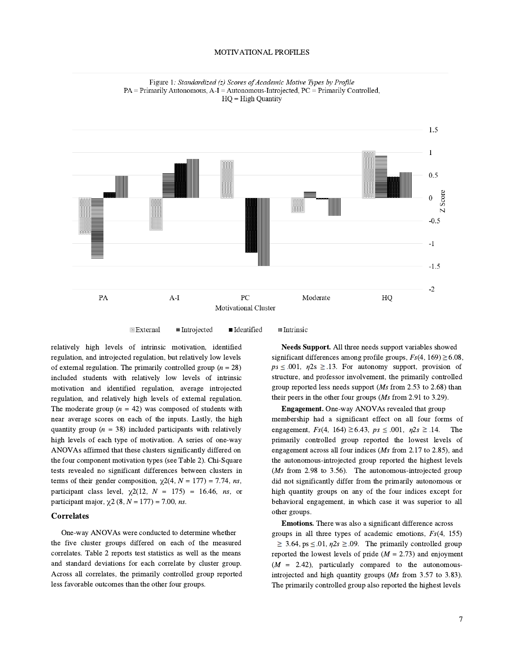#### MOTIVATIONAL PROFILES





 $\approx$  External  $\equiv$ Introjected **E** Identified **III** Intrinsic

relatively high levels of intrinsic motivation, identified regulation, and introjected regulation, but relatively low levels of external regulation. The primarily controlled group ( $n = 28$ ) included students with relatively low levels of intrinsic motivation and identified regulation, average introjected regulation, and relatively high levels of external regulation. The moderate group  $(n = 42)$  was composed of students with near average scores on each of the inputs. Lastly, the high quantity group ( $n = 38$ ) included participants with relatively high levels of each type of motivation. A series of one-way ANOVAs affirmed that these clusters significantly differed on the four component motivation types (see Table 2). Chi-Square tests revealed no significant differences between clusters in terms of their gender composition,  $\chi$ 2(4, N = 177) = 7.74, ns, participant class level,  $\chi$ 2(12, N = 175) = 16.46, ns, or participant major,  $\chi$ 2 (8, N = 177) = 7.00, ns.

#### **Correlates**

One-way ANOVAs were conducted to determine whether the five cluster groups differed on each of the measured correlates. Table 2 reports test statistics as well as the means and standard deviations for each correlate by cluster group. Across all correlates, the primarily controlled group reported less favorable outcomes than the other four groups.

 $ps \leq .001$ ,  $\eta 2s \geq .13$ . For autonomy support, provision of structure, and professor involvement, the primarily controlled group reported less needs support (Ms from 2.53 to 2.68) than their peers in the other four groups (Ms from 2.91 to 3.29). Needs Support. All three needs support variables showed significant differences among profile groups,  $Fs(4, 169) \ge 6.08$ ,

Engagement. One-way ANOVAs revealed that group membership had a significant effect on all four forms of engagement,  $Fs(4, 164) \ge 6.43$ ,  $ps \le .001$ ,  $\eta 2s \ge .14$ . The primarily controlled group reported the lowest levels of engagement across all four indices (Ms from 2.17 to 2.85), and the autonomous-introjected group reported the highest levels (*Ms* from 2.98 to 3.56). The autonomous-introjected group did not significantly differ from the primarily autonomous or high quantity groups on any of the four indices except for behavioral engagement, in which case it was superior to all other groups.

Emotions. There was also a significant difference across groups in all three types of academic emotions,  $Fs(4, 155)$  $\geq$  3.64, ps  $\leq$  .01,  $\eta$ 2s  $\geq$  .09. The primarily controlled group reported the lowest levels of pride  $(M = 2.73)$  and enjoyment  $(M = 2.42)$ , particularly compared to the autonomousintrojected and high quantity groups (Ms from 3.57 to 3.83). The primarily controlled group also reported the highest levels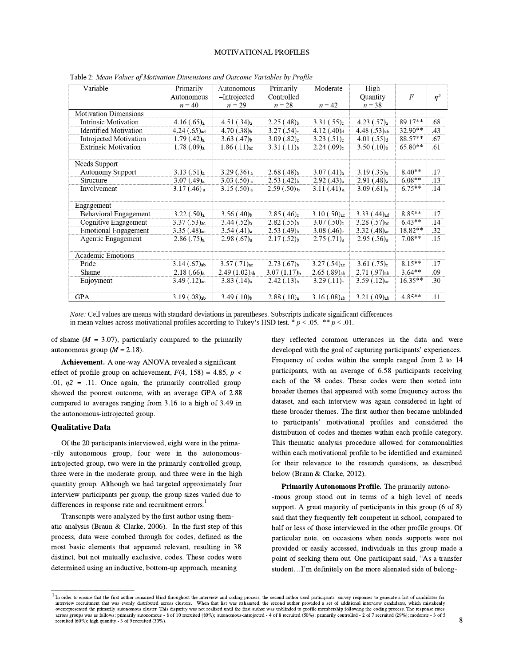#### MOTIVATIONAL PROFILES

| Variable                     | Primarily                  | Autonomous               | Primarily                 | Moderate                 | High                       |           |          |  |
|------------------------------|----------------------------|--------------------------|---------------------------|--------------------------|----------------------------|-----------|----------|--|
|                              | Autonomous                 | -Introjected             | Controlled                |                          | Quantity                   | F         | $\eta^2$ |  |
|                              | $n = 40$                   | $n = 29$                 | $n = 28$                  | $n = 42$                 | $n = 38$                   |           |          |  |
| <b>Motivation Dimensions</b> |                            |                          |                           |                          |                            |           |          |  |
| Intrinsic Motivation         | 4.16(.65) <sub>a</sub>     | 4.51(.34) <sub>a</sub>   | $2.25(.48)_{b}$           | 3.31(.55) <sub>c</sub>   | $4.23$ $(.57)_{a}$         | 89.17**   | .68      |  |
| <b>Identified Motivation</b> | $4.24$ (.65) <sub>ad</sub> | $4.70(.38)_b$            | $3.27(.54)_{c}$           | $4.12$ (.40) $d$         | $4.48(.53)_{ab}$           | 32.90**   | .43      |  |
| Introjected Motivation       | 1.79(.42) <sub>a</sub>     | $3.63(.47)_b$            | $3.09(.82)_{c}$           | 3.23(.51) <sub>c</sub>   | 4.01(.55) <sub>d</sub>     | 88.57**   | .67      |  |
| <b>Extrinsic Motivation</b>  | 1.78(.09) <sub>a</sub>     | $1.86$ $(.11)_{ac}$      | $3.31(.11)_b$             | $2.24(.09)_{c}$          | 3.50(.10) <sub>b</sub>     | $65.80**$ | .61      |  |
| Needs Support                |                            |                          |                           |                          |                            |           |          |  |
| <b>Autonomy Support</b>      | 3.13(.51) <sub>a</sub>     | $3.29(.36)$ <sub>a</sub> | $2.68(.48)_{b}$           | $3.07$ $(.41)_{a}$       | 3.19(.35) <sub>a</sub>     | $8.40**$  | .17      |  |
| Structure                    | $3.07$ $(.49)_{a}$         | $3.03(.50)$ <sub>a</sub> | $2.53(.42)_b$             | 2.92(0.43) <sub>a</sub>  | 2.91(.48) <sub>a</sub>     | $6.08**$  | .13      |  |
| Involvement                  | $3.17(.46)$ <sub>a</sub>   | $3.15(.50)_{a}$          | $2.59(.50)_{b}$           | $3.11(.41)$ <sub>a</sub> | 3.09(.61) <sub>a</sub>     | $6.75***$ | .14      |  |
| Engagement                   |                            |                          |                           |                          |                            |           |          |  |
| Behavioral Engagement        | 3.22(.50) <sub>a</sub>     | $3.56(.40)_{b}$          | $2.85$ (.46) <sub>c</sub> | $3.10$ $(.50)_{ac}$      | $3.33$ $(.44)_{ad}$        | 8.85**    | .17      |  |
| Cognitive Engagement         | $3.37$ $(.53)_{ac}$        | 3.44(.52) <sub>a</sub>   | $2.82(.55)_{b}$           | 3.07(.50) <sub>c</sub>   | $3.28(.57)_{ac}$           | $6.43**$  | .14      |  |
| <b>Emotional Engagement</b>  | $3.35$ $(.48)_{ac}$        | 3.54(.41) <sub>a</sub>   | $2.53(.49)_{b}$           | $3.08(.46)_{c}$          | $3.32$ (.48) <sub>ac</sub> | 18.82**   | .32      |  |
| Agentic Engagement           | 2.86(.75) <sub>a</sub>     | 2.98(.67) <sub>a</sub>   | $2.17(.52)_b$             | 2.75(.71) <sub>a</sub>   | 2.95(.56) <sub>a</sub>     | $7.08**$  | .15      |  |
| <b>Academic Emotions</b>     |                            |                          |                           |                          |                            |           |          |  |
| Pride                        | $3.14$ $(.67)_{ab}$        | $3.57$ $(.71)_{ac}$      | $2.73(.67)_{b}$           | $3.27(.54)_{ac}$         | $3.61$ $(.75)_{c}$         | $8.15**$  | .17      |  |
| Shame                        | $2.18(.66)_{a}$            | $2.49(1.02)_{ab}$        | $3.07(1.17)_b$            | $2.65(.89)_{ab}$         | $2.71(.97)_{ab}$           | $3.64**$  | .09      |  |
| Enjoyment                    | $3.49$ $(.12)_{ac}$        | $3.83(.14)_{a}$          | $2.42(.13)_b$             | 3.29(.11) <sub>c</sub>   | $3.59$ $(.12)_{ac}$        | $16.35**$ | .30      |  |
| GPA                          | $3.19(.08)_{ab}$           | $3.49(.10)_b$            | 2.88(.10) <sub>a</sub>    | $3.16(.08)_{ab}$         | $3.21(.09)_{ab}$           | $4.85**$  | .11      |  |

Table 2: Mean Values of Motivation Dimensions and Outcome Variables by Profile

Note: Cell values are means with standard deviations in parentheses. Subscripts indicate significant differences in mean values across motivational profiles according to Tukey's HSD test. \*  $p < .05$ . \*\*  $p < .01$ .

of shame  $(M = 3.07)$ , particularly compared to the primarily autonomous group  $(M = 2.18)$ .

Achievement. A one-way ANOVA revealed a significant effect of profile group on achievement,  $F(4, 158) = 4.85$ ,  $p \le$ .01,  $n2 = 0.11$ . Once again, the primarily controlled group showed the poorest outcome, with an average GPA of 2.88 compared to averages ranging from 3.16 to a high of 3.49 in the autonomous-introjected group.

#### Qualitative Data

Of the 20 participants interviewed, eight were in the prima- -rily autonomous group, four were in the autonomousintrojected group, two were in the primarily controlled group, three were in the moderate group, and three were in the high quantity group. Although we had targeted approximately four interview participants per group, the group sizes varied due to differences in response rate and recruitment errors.<sup>1</sup>

Transcripts were analyzed by the first author using thematic analysis (Braun & Clarke, 2006). In the first step of this process, data were combed through for codes, defined as the most basic elements that appeared relevant, resulting in 38 distinct, but not mutually exclusive, codes. These codes were determined using an inductive, bottom-up approach, meaning

they reflected common utterances in the data and were developed with the goal of capturing participants' experiences. Frequency of codes within the sample ranged from 2 to 14 participants, with an average of 6.58 participants receiving each of the 38 codes. These codes were then sorted into broader themes that appeared with some frequency across the dataset, and each interview was again considered in light of these broader themes. The first author then became unblinded these broader themes. The first author then became unblinded<br>to participants' motivational profiles and considered the distribution of codes and themes within each profile category. This thematic analysis procedure allowed for commonalities within each motivational profile to be identified and examined for their relevance to the research questions, as described below (Braun & Clarke, 2012).

Primarily Autonomous Profile. The primarily autono- -mous group stood out in terms of a high level of needs support. A great majority of participants in this group (6 of 8) said that they frequently felt competent in school, compared to half or less of those interviewed in the other profile groups. Of particular note, on occasions when needs supports were not provided or easily accessed, individuals in this group made a provided or easily accessed, individuals in this group made a<br>point of seeking them out. One participant said, "As a transfer provided of tastly accessed, that reads in this group mass<br>point of seeking them out. One participant said, "As a transfer student...I'm definitely on the more alienated side of belong-

<sup>1</sup> In order to ensure that the first author remained blind throughout the interview and coding process, the second author used participants' survey responses to generate a list of candidates for interview recruitment that was evenly distributed across clusters. When that list was exhausted, the second author provided a set of additional interview candidates, which mistakenly overrepresented the primarily autonomous cluster. This disparity was not realized until the first author was unblinded to profile membership following the coding process. The response rates<br>across groups was as follows: pr recruited (60%); high quantity - 3 of 9 recruited (33%).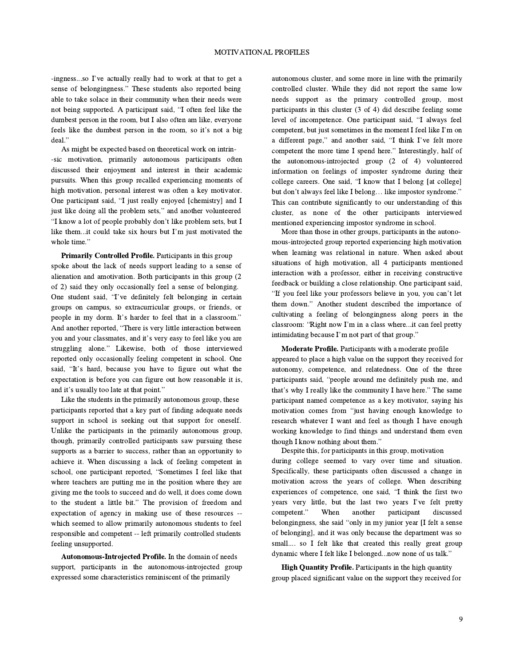-ingness...so I've actually really had to work at that to get <sup>a</sup> ingness...so I've actually really had to work at that to get a<br>sense of belongingness." These students also reported being able to take solace in their community when their needs were sense of belongingness." These students also reported being able to take solace in their community when their needs were not being supported. A participant said, "I often feel like the dumbest person in the room, but I also often am like, everyone dumbest person in the room, but I also often am like, everyone feels like the dumbest person in the room, so it's not a big feels like the dumbest person in the room, so it's not a big deal."

As might be expected based on theoretical work on intrin- -sic motivation, primarily autonomous participants often discussed their enjoyment and interest in their academic pursuits. When this group recalled experiencing moments of high motivation, personal interest was often a key motivator. one participant said, "I just really enjoyed [chemistry] and I<br>One participant said, "I just really enjoyed [chemistry] and I One participant said, "I just really enjoyed [chemistry] and I just like doing all the problem sets," and another volunteered just like doing all the problem sets," and another volunteered "I know a lot of people probably don't like problem sets, but I Income a lot of people probably don't like problem sets, but I<br>like them...it could take six hours but I'm just motivated the like them...it<br>whole time."

Primarily Controlled Profile. Participants in this group spoke about the lack of needs support leading to a sense of alienation and amotivation. Both participants in this group (2 of 2) said they only occasionally feel a sense of belonging. One student said, "I've definitely felt belonging in certain groups on campus, so extracurricular groups, or friends, or groups on campus, so extracurricular groups, or friends, or people in my dorm. It's harder to feel that in a classroom." people in my dorm. It's harder to feel that in a classroom." And another reported, "There is very little interaction between<br>you and your classmates, and it's very easy to feel like you are struggling alone." Likewise, both of those interviewed reported only occasionally feeling competent in school. One satisfying and the constant of the competent in school. One<br>said, "It's hard, because you have to figure out what the expectation is before you can figure out how reasonable it is, said, "It's hard, because you have to figure out what the expectation is before you can figure out how reasonable it is, and it's usually too late at that point."

Like the students in the primarily autonomous group, these participants reported that a key part of finding adequate needs support in school is seeking out that support for oneself. Unlike the participants in the primarily autonomous group, though, primarily controlled participants saw pursuing these supports as a barrier to success, rather than an opportunity to achieve it. When discussing a lack of feeling competent in school, one participant reported, "Sometimes I feel like that school, one participant reported, "Sometimes I feel like that where teachers are putting me in the position where they are giving me the tools to succeed and do well, it does come down to the student <sup>a</sup> little bit." The provision of freedom and expectation of agency in making use of these resources - which seemed to allow primarily autonomous students to feel responsible and competent -- left primarily controlled students feeling unsupported.

Autonomous-Introjected Profile. In the domain of needs support, participants in the autonomous-introjected group expressed some characteristics reminiscent of the primarily

autonomous cluster, and some more in line with the primarily controlled cluster. While they did not report the same low needs support as the primary controlled group, most participants in this cluster (3 of 4) did describe feeling some participants in this cluster  $(3 \text{ of } 4)$  did describe feeling some<br>level of incompetence. One participant said, "I always feel level of incompetence. One participant said, "I always feel competent, but just sometimes in the moment I feel like I'm on<br>a different page," and another said, "I think I've felt more<br>competent the more time I spend here." Interestingly, half of a different page," and another said, "I think I've felt more the autonomous-introjected group (2 of 4) volunteered information on feelings of imposter syndrome during their information on feelings of imposter syndrome during their college careers. One said, "I know that I belong [at college] college careers. One said, "I know that I belong [at college] but don't always feel like I belong... like impostor syndrome." This can contribute significantly to our understanding of this cluster, as none of the other participants interviewed mentioned experiencing impostor syndrome in school.

More than those in other groups, participants in the autonomous-introjected group reported experiencing high motivation when learning was relational in nature. When asked about situations of high motivation, all 4 participants mentioned interaction with a professor, either in receiving constructive feedback or building a close relationship. One participant said, feedback or building a close relationship. One participant said, "If you feel like your professors believe in you, you can't let The down." Another student described the importance of them down." Another student described the importance of cultivating a feeling of belongingness along peers in the cultivating a feeling of belongingness along peers in the classroom: "Right now I'm in a class where...it can feel pretty classroom: "Right now I'm in a class where...it can feel pretty intimidating because I'm not part of that group."

Moderate Profile. Participants with a moderate profile appeared to place a high value on the support they received for autonomy, competence, and relatedness. One of the three autonomy, competence, and relatedness. One of the three<br>participants said, "people around me definitely push me, and participants said, "people around me definitely push me, and that's why I really like the community I have here." The same participant named competence as a key motivator, saying his motivation comes from "just having enough knowledge to motivation comes from "just having enough knowledge to research whatever I want and feel as though I have enough working knowledge to find things and understand them even though <sup>I</sup> know nothing about them."

Despite this, for participants in this group, motivation during college seemed to vary over time and situation. Specifically, these participants often discussed a change in motivation across the years of college. When describing experimently, and the participants of college. When describing<br>motivation across the years of college. When describing<br>experiences of competence, one said, "I think the first two experiences of competence, one said, "I think the first two<br>years very little, but the last two years I've felt pretty experiences of emperience, and since the main include the pretty<br>years very little, but the last two years I've felt pretty<br>competent." When another participant discussed competent." When another participant discussed<br>belongingness, she said "only in my junior year [I felt a sense of belonging], and it was only because the department was so small.... so I felt like that created this really great group dynamic where <sup>I</sup> felt like <sup>I</sup> belonged...now none of us talk."

High Quantity Profile. Participants in the high quantity group placed significant value on the support they received for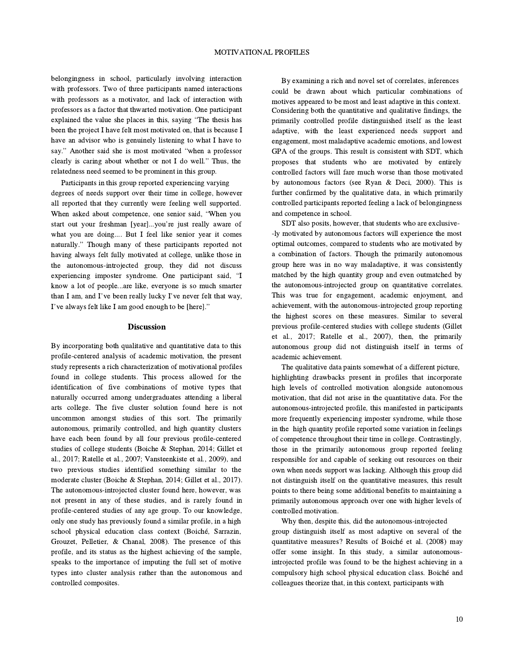belongingness in school, particularly involving interaction with professors. Two of three participants named interactions with professors as a motivator, and lack of interaction with professors as a factor that thwarted motivation. One participant explained the value she places in this, saying "The thesis has been the project I have felt most motivated on, that is because I have an advisor who is genuinely listening to what I have to say." Another said she is most motivated "when a professor say." Another said she is most motivated "when a professor clearly is caring about whether or not I do well." Thus, the relatedness need seemed to be prominent in this group.

Participants in this group reported experiencing varying degrees of needs support over their time in college, however all reported that they currently were feeling well supported. all reported that they currently were feeling well supported.<br>When asked about competence, one senior said, "When you when asked about competence, one senior said, "When you start out your freshman [year]...you're just really aware of what you are doing.... But I feel like senior year it comes start out your freshman [year]...you're just really aware of what you are doing.... But I feel like senior year it comes naturally." Though many of these participants reported not having always felt fully motivated at college, unlike those in the autonomous-introjected group, they did not discuss experiencing imposter syndrome. One participant said, "I know a lot of people...are like, everyone is so much smarter experiencing imposter syndrome. One participant said, "I know a lot of people...are like, everyone is so much smarter than I am, and I've been really lucky I've never felt that way, I've always felt like <sup>I</sup> am good enough to be [here]."

#### Discussion

By incorporating both qualitative and quantitative data to this profile-centered analysis of academic motivation, the present study represents a rich characterization of motivational profiles found in college students. This process allowed for the identification of five combinations of motive types that naturally occurred among undergraduates attending a liberal arts college. The five cluster solution found here is not uncommon amongst studies of this sort. The primarily autonomous, primarily controlled, and high quantity clusters have each been found by all four previous profile-centered studies of college students (Boiche & Stephan, 2014; Gillet et al., 2017; Ratelle et al., 2007; Vansteenkiste et al., 2009), and two previous studies identified something similar to the moderate cluster (Boiche & Stephan, 2014; Gillet et al., 2017). The autonomous-introjected cluster found here, however, was not present in any of these studies, and is rarely found in profile-centered studies of any age group. To our knowledge, only one study has previously found a similar profile, in a high school physical education class context (Boiché, Sarrazin, Grouzet, Pelletier, & Chanal, 2008). The presence of this profile, and its status as the highest achieving of the sample, speaks to the importance of imputing the full set of motive types into cluster analysis rather than the autonomous and controlled composites.

Considering both the quantitative and qualitative findings, the primarily controlled profile distinguished itself as the least adaptive, with the least experienced needs support and engagement, most maladaptive academic emotions, and lowest GPA of the groups. This result is consistent with SDT, which proposes that students who are motivated by entirely controlled factors will fare much worse than those motivated by autonomous factors (see Ryan & Deci, 2000). This is further confirmed by the qualitative data, in which primarily controlled participants reported feeling a lack of belongingness and competence in school. By examining a rich and novel set of correlates, inferences could be drawn about which particular combinations of motives appeared to be most and least adaptive in this context.

SDT also posits, however, that students who are exclusive- -ly motivated by autonomous factors will experience the most optimal outcomes, compared to students who are motivated by a combination of factors. Though the primarily autonomous group here was in no way maladaptive, it was consistently matched by the high quantity group and even outmatched by the autonomous-introjected group on quantitative correlates. This was true for engagement, academic enjoyment, and achievement, with the autonomous-introjected group reporting the highest scores on these measures. Similar to several previous profile-centered studies with college students (Gillet et al., 2017; Ratelle et al., 2007), then, the primarily autonomous group did not distinguish itself in terms of academic achievement.

The qualitative data paints somewhat of a different picture, highlighting drawbacks present in profiles that incorporate high levels of controlled motivation alongside autonomous motivation, that did not arise in the quantitative data. For the autonomous-introjected profile, this manifested in participants more frequently experiencing imposter syndrome, while those in the high quantity profile reported some variation in feelings of competence throughout their time in college. Contrastingly, those in the primarily autonomous group reported feeling responsible for and capable of seeking out resources on their own when needs support was lacking. Although this group did not distinguish itself on the quantitative measures, this result points to there being some additional benefits to maintaining a primarily autonomous approach over one with higher levels of controlled motivation.

Why then, despite this, did the autonomous-introjected group distinguish itself as most adaptive on several of the quantitative measures? Results of Boiché et al. (2008) may offer some insight. In this study, a similar autonomousintrojected profile was found to be the highest achieving in a compulsory high school physical education class. Boiché and colleagues theorize that, in this context, participants with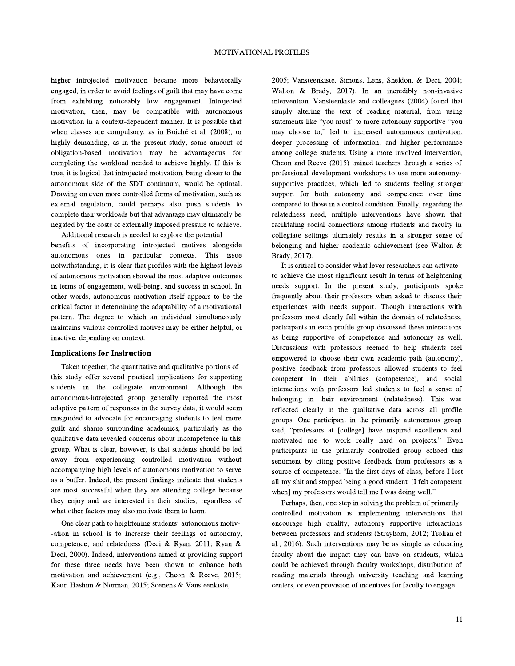higher introjected motivation became more behaviorally engaged, in order to avoid feelings of guilt that may have come from exhibiting noticeably low engagement. Introjected motivation, then, may be compatible with autonomous motivation in a context-dependent manner. It is possible that when classes are compulsory, as in Boiché et al. (2008), or highly demanding, as in the present study, some amount of obligation-based motivation may be advantageous for completing the workload needed to achieve highly. If this is true, it is logical that introjected motivation, being closer to the autonomous side of the SDT continuum, would be optimal. Drawing on even more controlled forms of motivation, such as external regulation, could perhaps also push students to complete their workloads but that advantage may ultimately be negated by the costs of externally imposed pressure to achieve.

Additional research is needed to explore the potential benefits of incorporating introjected motives alongside autonomous ones in particular contexts. This issue notwithstanding, it is clear that profiles with the highest levels of autonomous motivation showed the most adaptive outcomes in terms of engagement, well-being, and success in school. In other words, autonomous motivation itself appears to be the critical factor in determining the adaptability of a motivational pattern. The degree to which an individual simultaneously maintains various controlled motives may be either helpful, or inactive, depending on context.

#### Implications for Instruction

Taken together, the quantitative and qualitative portions of this study offer several practical implications for supporting students in the collegiate environment. Although the autonomous-introjected group generally reported the most adaptive pattern of responses in the survey data, it would seem misguided to advocate for encouraging students to feel more guilt and shame surrounding academics, particularly as the qualitative data revealed concerns about incompetence in this group. What is clear, however, is that students should be led away from experiencing controlled motivation without accompanying high levels of autonomous motivation to serve as a buffer. Indeed, the present findings indicate that students are most successful when they are attending college because they enjoy and are interested in their studies, regardless of what other factors may also motivate them to learn.

One clear path to heightening students' autonomous motiv- -ation in school is to increase their feelings of autonomy, competence, and relatedness (Deci & Ryan, 2011; Ryan & Deci, 2000). Indeed, interventions aimed at providing support for these three needs have been shown to enhance both motivation and achievement (e.g., Cheon & Reeve, 2015; Kaur, Hashim & Norman, 2015; Soenens & Vansteenkiste,

2005; Vansteenkiste, Simons, Lens, Sheldon, & Deci, 2004; Walton & Brady, 2017). In an incredibly non-invasive intervention, Vansteenkiste and colleagues (2004) found that simply altering the text of reading material, from using statements like "you must" to more autonomy supportive "you statements like "you must" to more autonomy supportive "you may choose to," led to increased autonomous motivation, deeper processing of information, and higher performance among college students. Using a more involved intervention, Cheon and Reeve (2015) trained teachers through a series of professional development workshops to use more autonomysupportive practices, which led to students feeling stronger support for both autonomy and competence over time compared to those in a control condition. Finally, regarding the relatedness need, multiple interventions have shown that facilitating social connections among students and faculty in collegiate settings ultimately results in a stronger sense of belonging and higher academic achievement (see Walton & Brady, 2017).

It is critical to consider what lever researchers can activate to achieve the most significant result in terms of heightening needs support. In the present study, participants spoke frequently about their professors when asked to discuss their experiences with needs support. Though interactions with professors most clearly fall within the domain of relatedness, participants in each profile group discussed these interactions as being supportive of competence and autonomy as well. Discussions with professors seemed to help students feel empowered to choose their own academic path (autonomy), positive feedback from professors allowed students to feel competent in their abilities (competence), and social interactions with professors led students to feel a sense of belonging in their environment (relatedness). This was reflected clearly in the qualitative data across all profile groups. One participant in the primarily autonomous group said, "professors at [college] have inspired excellence and said, "professors at [college] have inspired excellence and motivated me to work really hard on projects." Even participants in the primarily controlled group echoed this sentiment by citing positive feedback from professors as a source of competence: "In the first days of class, before I lost all my shit and stopped being a good student, [I felt competent source of competence: "In the first days of class, before I lost<br>all my shit and stopped being a good student, [I felt competent<br>when] my professors would tell me I was doing well."

Perhaps, then, one step in solving the problem of primarily controlled motivation is implementing interventions that encourage high quality, autonomy supportive interactions between professors and students (Strayhorn, 2012; Trolian et al., 2016). Such interventions may be as simple as educating faculty about the impact they can have on students, which could be achieved through faculty workshops, distribution of reading materials through university teaching and learning centers, or even provision of incentives for faculty to engage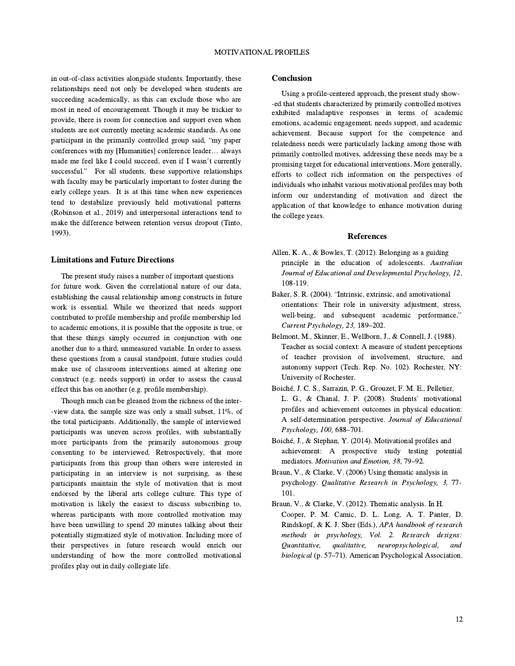in out-of-class activities alongside students. Importantly, these relationships need not only be developed when students are succeeding academically, as this can exclude those who are most in need of encouragement. Though it may be trickier to provide, there is room for connection and support even when students are not currently meeting academic standards. As one participant in the primarily controlled group said, "my paper conferences with my [Humanities] conference leader… always made me feel like <sup>I</sup> could succeed, even if <sup>I</sup> wasn't currently made me feel like I could succeed, even if I wasn't currently successful." For all students, these supportive relationships with faculty may be particularly important to foster during the early college years. It is at this time when new experiences tend to destabilize previously held motivational patterns (Robinson et al., 2019) and interpersonal interactions tend to make the difference between retention versus dropout (Tinto, 1993).

#### Limitations and Future Directions

The present study raises a number of important questions for future work. Given the correlational nature of our data, establishing the causal relationship among constructs in future work is essential. While we theorized that needs support contributed to profile membership and profile membership led to academic emotions, it is possible that the opposite is true, or that these things simply occurred in conjunction with one another due to a third, unmeasured variable. In order to assess these questions from a causal standpoint, future studies could make use of classroom interventions aimed at altering one construct (e.g. needs support) in order to assess the causal effect this has on another (e.g. profile membership).

Though much can be gleaned from the richness of the inter- -view data, the sample size was only a small subset, 11%, of the total participants. Additionally, the sample of interviewed participants was uneven across profiles, with substantially more participants from the primarily autonomous group consenting to be interviewed. Retrospectively, that more participants from this group than others were interested in participating in an interview is not surprising, as these participants maintain the style of motivation that is most endorsed by the liberal arts college culture. This type of motivation is likely the easiest to discuss subscribing to, whereas participants with more controlled motivation may have been unwilling to spend 20 minutes talking about their potentially stigmatized style of motivation. Including more of their perspectives in future research would enrich our understanding of how the more controlled motivational profiles play out in daily collegiate life.

#### Conclusion

exhibited maladaptive responses in terms of academic emotions, academic engagement, needs support, and academic achievement. Because support for the competence and relatedness needs were particularly lacking among those with primarily controlled motives, addressing these needs may be a promising target for educational interventions. More generally, efforts to collect rich information on the perspectives of individuals who inhabit various motivational profiles may both inform our understanding of motivation and direct the application of that knowledge to enhance motivation during the college years. Using a profile-centered approach, the present study show- -ed that students characterized by primarily controlled motives

#### **References**

- Allen, K. A., & Bowles, T. (2012). Belonging as a guiding principle in the education of adolescents. Australian Journal of Educational and Developmental Psychology, 12, 108-119.
- Baker, S. R. (2004). "Intrinsic, extrinsic, and amotivational orientations: Their role in university adjustment, stress, well-being, and subsequent academic performance," Current Psychology, 23, 189–202.
- Belmont, M., Skinner, E., Wellborn, J., & Connell, J. (1988). Teacher as social context: A measure of student perceptions of teacher provision of involvement, structure, and autonomy support (Tech. Rep. No. 102). Rochester, NY: University of Rochester.
- Boiché, J. C. S., Sarrazin, P. G., Grouzet, F. M. E., Pelletier, L. G., & Chanal, J. P. (2008). Students' motivational profiles and achievement outcomes in physical education: A self-determination perspective. Journal of Educational Psychology, 100, 688–701.
- Boiché, J., & Stephan, Y. (2014). Motivational profiles and achievement: A prospective study testing potential mediators. Motivation and Emotion, 38, 79–92.
- Braun, V., & Clarke, V. (2006) Using thematic analysis in psychology. Qualitative Research in Psychology, 3, 77- 101.
- Braun, V., & Clarke, V. (2012). Thematic analysis. In H. Cooper, P. M. Camic, D. L. Long, A. T. Panter, D. Rindskopf, & K. J. Sher (Eds.), APA handbook of research methods in psychology, Vol. 2. Research designs: Quantitative, qualitative, neuropsychological, and biological (p. 57–71). American Psychological Association.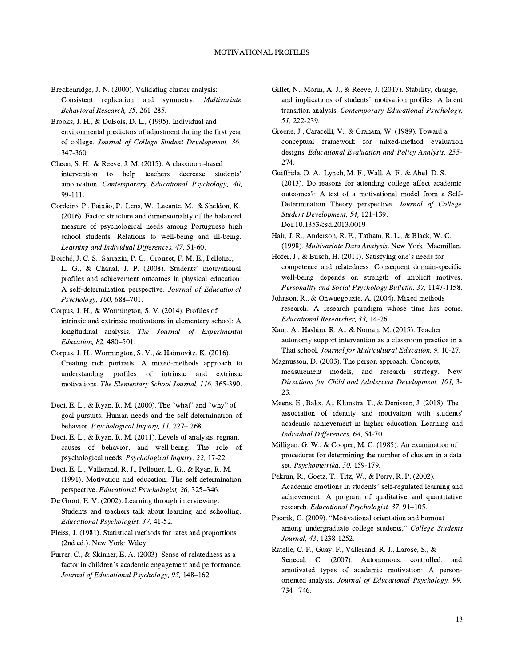- Breckenridge, J. N. (2000). Validating cluster analysis: Consistent replication and symmetry. Multivariate Behavioral Research, 35, 261-285.
- Brooks, J. H., & DuBois, D. L., (1995). Individual and environmental predictors of adjustment during the first year of college. Journal of College Student Development, 36, 347-360.
- Cheon, S. H., & Reeve, J. M. (2015). A classroom-based intervention to help teachers decrease students' amotivation. Contemporary Educational Psychology, 40, 99-111.
- Cordeiro, P., Paixão, P., Lens, W., Lacante, M., & Sheldon, K. (2016). Factor structure and dimensionality of the balanced measure of psychological needs among Portuguese high school students. Relations to well-being and ill-being. Learning and Individual Differences, 47, 51-60.
- Boiché, J. C. S., Sarrazin, P. G., Grouzet, F. M. E., Pelletier, L. G., & Chanal, J. P. (2008). Students' motivational profiles and achievement outcomes in physical education: A self-determination perspective. Journal of Educational Psychology, 100, 688–701.
- Corpus, J. H., & Wormington, S. V. (2014). Profiles of intrinsic and extrinsic motivations in elementary school: A longitudinal analysis. The Journal of Experimental Education, 82, 480–501.
- Corpus, J. H., Wormington, S. V., & Haimovitz, K. (2016). Creating rich portraits: A mixed-methods approach to understanding profiles of intrinsic and extrinsic motivations. The Elementary School Journal, 116, 365-390.
- Deci, E. L., & Ryan, R. M. (2000). The "what" and "why" of goal pursuits: Human needs and the self-determination of behavior. Psychological Inquiry, 11, 227– 268.
- Deci, E. L., & Ryan, R. M. (2011). Levels of analysis, regnant causes of behavior, and well-being: The role of psychological needs. Psychological Inquiry, 22, 17-22.
- Deci, E. L., Vallerand, R. J., Pelletier, L. G., & Ryan, R. M. (1991). Motivation and education: The self-determination perspective. Educational Psychologist, 26, 325–346.
- De Groot, E. V. (2002). Learning through interviewing: Students and teachers talk about learning and schooling. Educational Psychologist, 37, 41-52.
- Fleiss, J. (1981). Statistical methods for rates and proportions (2nd ed.). New York: Wiley.
- Furrer, C., & Skinner, E. A. (2003). Sense of relatedness as a factor in children's academic engagement and performance. Journal of Educational Psychology, 95, 148–162.
- Gillet, N., Morin, A. J., & Reeve, J. (2017). Stability, change, and implications of students' motivation profiles: <sup>A</sup> latent transition analysis. Contemporary Educational Psychology, 51, 222-239.
- Greene, J., Caracelli, V., & Graham, W. (1989). Toward a conceptual framework for mixed-method evaluation designs. Educational Evaluation and Policy Analysis, 255- 274.
- Guiffrida, D. A., Lynch, M. F., Wall, A. F., & Abel, D. S. (2013). Do reasons for attending college affect academic outcomes?: A test of a motivational model from a Self-Determination Theory perspective. Journal of College Student Development, 54, 121-139. Doi:10.1353/csd.2013.0019
- Hair, J. R., Anderson, R. E., Tatham, R. L., & Black, W. C. (1998). Multivariate Data Analysis. New York: Macmillan.
- Hofer, J., & Busch, H. (2011). Satisfying one's needs for competence and relatedness: Consequent domain-specific well-being depends on strength of implicit motives. Personality and Social Psychology Bulletin, 37, 1147-1158.
- Johnson, R., & Onwuegbuzie, A. (2004). Mixed methods research: A research paradigm whose time has come. Educational Researcher, 33, 14-26.
- Kaur, A., Hashim, R. A., & Noman, M. (2015). Teacher autonomy support intervention as a classroom practice in a Thai school. Journal for Multicultural Education, 9, 10-27.
- Magnusson, D. (2003). The person approach: Concepts, measurement models, and research strategy. New Directions for Child and Adolescent Development, 101, 3- 23.
- Meens, E., Bakx, A., Klimstra, T., & Denissen, J. (2018). The association of identity and motivation with students' academic achievement in higher education. Learning and Individual Differences, 64, 54-70
- Milligan, G. W., & Cooper, M. C. (1985). An examination of procedures for determining the number of clusters in a data set. Psychometrika, 50, 159-179.
- Pekrun, R., Goetz, T., Titz, W., & Perry, R. P. (2002). Academic emotions in students' self-regulated learning and achievement: A program of qualitative and quantitative research. Educational Psychologist, 37, 91–105.
- Pisarik, C. (2009). "Motivational orientation and burnout among undergraduate college students," College Students Journal, 43, 1238-1252.
- Ratelle, C. F., Guay, F., Vallerand, R. J., Larose, S., & Senecal, C. (2007). Autonomous, controlled, and amotivated types of academic motivation: A personoriented analysis. Journal of Educational Psychology, 99, 734 –746.